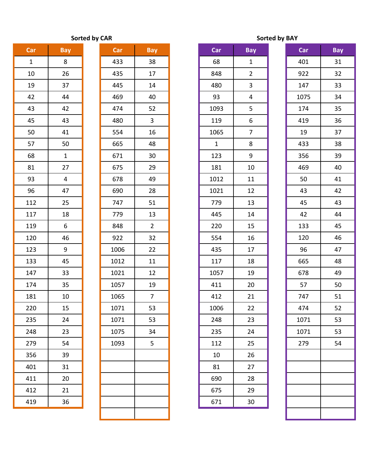## **Sorted by CAR**

| Car            | Bay         |  |  |  |
|----------------|-------------|--|--|--|
| $\overline{1}$ | 8           |  |  |  |
| 10             | 26          |  |  |  |
| 19             | 37          |  |  |  |
| 42             | 44          |  |  |  |
| 43             | 42          |  |  |  |
| 45             | 43          |  |  |  |
| 50             | 41          |  |  |  |
| 57             | 50          |  |  |  |
| 68             | $\mathbf 1$ |  |  |  |
| 81             | 27          |  |  |  |
| 93             | 4           |  |  |  |
| 96             | 47          |  |  |  |
| 112            | 25          |  |  |  |
| 117            | 18          |  |  |  |
| 119            | 6           |  |  |  |
| 120            | 46          |  |  |  |
| 123            | 9           |  |  |  |
| 133            | 45          |  |  |  |
| 147            | 33          |  |  |  |
| 174            | 35          |  |  |  |
| 181            | 10          |  |  |  |
| 220            | 15          |  |  |  |
| 235            | 24          |  |  |  |
| 248            | 23          |  |  |  |
| 279            | 54          |  |  |  |
| 356            | 39          |  |  |  |
| 401            | 31          |  |  |  |
| 411            | 20          |  |  |  |
| 412            | 21          |  |  |  |
| 419            | 36          |  |  |  |

| Car          | <b>Bay</b>              | Car  | <b>Bay</b>     | Car          | Bay            |
|--------------|-------------------------|------|----------------|--------------|----------------|
| $\mathbf{1}$ | 8                       | 433  | 38             | 68           | $\mathbf{1}$   |
| 10           | 26                      | 435  | 17             | 848          | $\overline{2}$ |
| 19           | 37                      | 445  | 14             | 480          | $\mathbf{3}$   |
| 42           | 44                      | 469  | 40             | 93           | $\overline{4}$ |
| 43           | 42                      | 474  | 52             | 1093         | 5              |
| 45           | 43                      | 480  | 3              | 119          | 6              |
| 50           | 41                      | 554  | 16             | 1065         | $\overline{7}$ |
| 57           | 50                      | 665  | 48             | $\mathbf{1}$ | 8              |
| 68           | $\mathbf{1}$            | 671  | 30             | 123          | 9              |
| 81           | 27                      | 675  | 29             | 181          | 10             |
| 93           | $\overline{\mathbf{4}}$ | 678  | 49             | 1012         | 11             |
| 96           | 47                      | 690  | 28             | 1021         | 12             |
| 112          | 25                      | 747  | 51             | 779          | 13             |
| 117          | 18                      | 779  | 13             | 445          | 14             |
| 119          | 6                       | 848  | $\overline{2}$ | 220          | 15             |
| 120          | 46                      | 922  | 32             | 554          | 16             |
| 123          | 9                       | 1006 | 22             | 435          | 17             |
| 133          | 45                      | 1012 | 11             | 117          | 18             |
| 147          | 33                      | 1021 | 12             | 1057         | 19             |
| 174          | 35                      | 1057 | 19             | 411          | 20             |
| 181          | 10                      | 1065 | $\overline{7}$ | 412          | 21             |
| 220          | 15                      | 1071 | 53             | 1006         | 22             |
| 235          | 24                      | 1071 | 53             | 248          | 23             |
| 248          | 23                      | 1075 | 34             | 235          | 24             |
| 279          | 54                      | 1093 | 5              | 112          | 25             |
| 356          | 39                      |      |                | 10           | 26             |
| 401          | 31                      |      |                | 81           | 27             |
| 411          | 20                      |      |                | 690          | 28             |
| 412          | 21                      |      |                | 675          | 29             |
| 419          | 36                      |      |                | 671          | 30             |
|              |                         |      |                |              |                |

|  | <b>Sorted by BAY</b> |
|--|----------------------|
|  |                      |

| Car | <b>Bay</b>   | Car  | Bay            | Car          | <b>Bay</b>     | Car  | <b>Bay</b> |
|-----|--------------|------|----------------|--------------|----------------|------|------------|
| 1   | 8            | 433  | 38             | 68           | $\mathbf{1}$   | 401  | 31         |
| 10  | 26           | 435  | 17             | 848          | $\overline{2}$ | 922  | 32         |
| 19  | 37           | 445  | 14             | 480          | 3              | 147  | 33         |
| 42  | 44           | 469  | 40             | 93           | 4              | 1075 | 34         |
| 43  | 42           | 474  | 52             | 1093         | 5              | 174  | 35         |
| 45  | 43           | 480  | $\mathbf{3}$   | 119          | 6              | 419  | 36         |
| 50  | 41           | 554  | 16             | 1065         | $\overline{7}$ | 19   | 37         |
| 57  | 50           | 665  | 48             | $\mathbf{1}$ | 8              | 433  | 38         |
| 68  | $\mathbf{1}$ | 671  | 30             | 123          | 9              | 356  | 39         |
| 81  | 27           | 675  | 29             | 181          | 10             | 469  | 40         |
| 93  | 4            | 678  | 49             | 1012         | 11             | 50   | 41         |
| 96  | 47           | 690  | 28             | 1021         | 12             | 43   | 42         |
| 112 | 25           | 747  | 51             | 779          | 13             | 45   | 43         |
| 117 | 18           | 779  | 13             | 445          | 14             | 42   | 44         |
| 119 | 6            | 848  | $\overline{2}$ | 220          | 15             | 133  | 45         |
| 120 | 46           | 922  | 32             | 554          | 16             | 120  | 46         |
| 123 | 9            | 1006 | 22             | 435          | 17             | 96   | 47         |
| 133 | 45           | 1012 | 11             | 117          | 18             | 665  | 48         |
| 147 | 33           | 1021 | 12             | 1057         | 19             | 678  | 49         |
| 174 | 35           | 1057 | 19             | 411          | 20             | 57   | 50         |
| 181 | 10           | 1065 | $\overline{7}$ | 412          | 21             | 747  | 51         |
| 220 | 15           | 1071 | 53             | 1006         | 22             | 474  | 52         |
| 235 | 24           | 1071 | 53             | 248          | 23             | 1071 | 53         |
| 248 | 23           | 1075 | 34             | 235          | 24             | 1071 | 53         |
| 279 | 54           | 1093 | 5              | 112          | 25             | 279  | 54         |
| 356 | 39           |      |                | 10           | 26             |      |            |
| 401 | 31           |      |                | 81           | 27             |      |            |
| 411 | 20           |      |                | 690          | 28             |      |            |
| 412 | 21           |      |                | 675          | 29             |      |            |
| 419 | 36           |      |                | 671          | 30             |      |            |

| Car  | <b>Bay</b> |
|------|------------|
| 401  | 31         |
| 922  | 32         |
| 147  | 33         |
| 1075 | 34         |
| 174  | 35         |
| 419  | 36         |
| 19   | 37         |
| 433  | 38         |
| 356  | 39         |
| 469  | 40         |
| 50   | 41         |
| 43   | 42         |
| 45   | 43         |
| 42   | 44         |
| 133  | 45         |
| 120  | 46         |
| 96   | 47         |
| 665  | 48         |
| 678  | 49         |
| 57   | 50         |
| 747  | 51         |
| 474  | 52         |
| 1071 | 53         |
| 1071 | 53         |
| 279  | 54         |
|      |            |
|      |            |
|      |            |
|      |            |
|      |            |
|      |            |